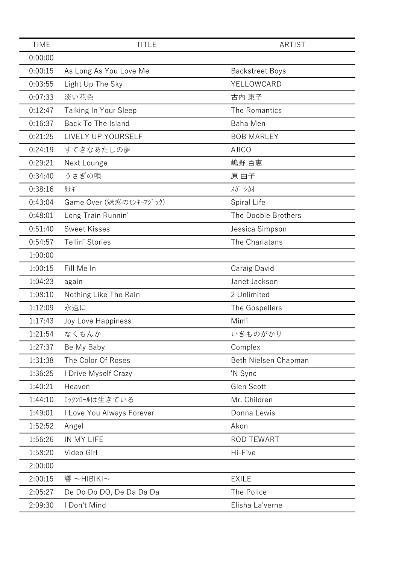| <b>TIME</b> | <b>TITLE</b>              | <b>ARTIST</b>          |
|-------------|---------------------------|------------------------|
| 0:00:00     |                           |                        |
| 0:00:15     | As Long As You Love Me    | <b>Backstreet Boys</b> |
| 0:03:55     | Light Up The Sky          | YELLOWCARD             |
| 0:07:33     | 淡い花色                      | 古内 東子                  |
| 0:12:47     | Talking In Your Sleep     | The Romantics          |
| 0:16:37     | Back To The Island        | Baha Men               |
| 0:21:25     | LIVELY UP YOURSELF        | <b>BOB MARLEY</b>      |
| 0:24:19     | すてきなあたしの夢                 | <b>AJICO</b>           |
| 0:29:21     | Next Lounge               | 嶋野 百恵                  |
| 0:34:40     | うさぎの唄                     | 原 由子                   |
| 0:38:16     | サナギ                       | スガ シカオ                 |
| 0:43:04     | Game Over (魅惑のモンキーマジック)   | Spiral Life            |
| 0:48:01     | Long Train Runnin'        | The Doobie Brothers    |
| 0:51:40     | <b>Sweet Kisses</b>       | Jessica Simpson        |
| 0:54:57     | Tellin' Stories           | The Charlatans         |
| 1:00:00     |                           |                        |
| 1:00:15     | Fill Me In                | Caraig David           |
| 1:04:23     | again                     | Janet Jackson          |
| 1:08:10     | Nothing Like The Rain     | 2 Unlimited            |
| 1:12:09     | 永遠に                       | The Gospellers         |
| 1:17:43     | Joy Love Happiness        | Mimi                   |
| 1:21:54     | なくもんか                     | いきものがかり                |
| 1:27:37     | Be My Baby                | Complex                |
| 1:31:38     | The Color Of Roses        | Beth Nielsen Chapman   |
| 1:36:25     | I Drive Myself Crazy      | 'N Sync                |
| 1:40:21     | Heaven                    | Glen Scott             |
| 1:44:10     | ロックンロールは生きている             | Mr. Children           |
| 1:49:01     | I Love You Always Forever | Donna Lewis            |
| 1:52:52     | Angel                     | Akon                   |
| 1:56:26     | IN MY LIFE                | <b>ROD TEWART</b>      |
| 1:58:20     | Video Girl                | Hi-Five                |
| 2:00:00     |                           |                        |
| 2:00:15     | 響 $\sim$ HIBIKI $\sim$    | <b>EXILE</b>           |
| 2:05:27     | De Do Do DO, De Da Da Da  | The Police             |
| 2:09:30     | I Don't Mind              | Elisha La'verne        |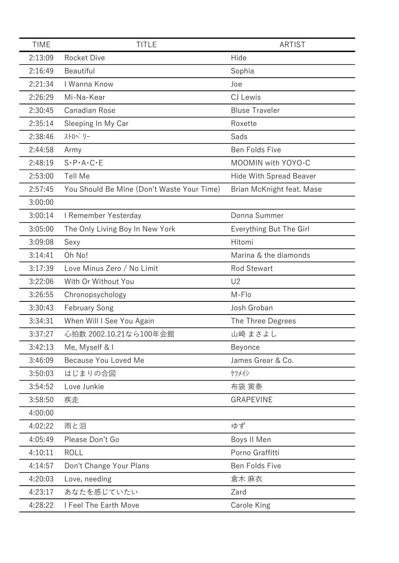| <b>TIME</b> | <b>TITLE</b>                               | ARTIST                         |
|-------------|--------------------------------------------|--------------------------------|
| 2:13:09     | <b>Rocket Dive</b>                         | Hide                           |
| 2:16:49     | Beautiful                                  | Sophia                         |
| 2:21:34     | I Wanna Know                               | Joe                            |
| 2:26:29     | Mi-Na-Kear                                 | <b>CJ</b> Lewis                |
| 2:30:45     | Canadian Rose                              | <b>Bluse Traveler</b>          |
| 2:35:14     | Sleeping In My Car                         | Roxette                        |
| 2:38:46     | ストロヘ゛リー                                    | Sads                           |
| 2:44:58     | Army                                       | Ben Folds Five                 |
| 2:48:19     | $S \cdot P \cdot A \cdot C \cdot E$        | MOOMIN with YOYO-C             |
| 2:53:00     | <b>Tell Me</b>                             | <b>Hide With Spread Beaver</b> |
| 2:57:45     | You Should Be Mine (Don't Waste Your Time) | Brian McKnight feat. Mase      |
| 3:00:00     |                                            |                                |
| 3:00:14     | I Remember Yesterday                       | Donna Summer                   |
| 3:05:00     | The Only Living Boy In New York            | Everything But The Girl        |
| 3:09:08     | Sexy                                       | Hitomi                         |
| 3:14:41     | Oh No!                                     | Marina & the diamonds          |
| 3:17:39     | Love Minus Zero / No Limit                 | <b>Rod Stewart</b>             |
| 3:22:06     | With Or Without You                        | U <sub>2</sub>                 |
| 3:26:55     | Chronopsychology                           | M-Flo                          |
| 3:30:43     | <b>February Song</b>                       | Josh Groban                    |
| 3:34:31     | When Will I See You Again                  | The Three Degrees              |
| 3:37:27     | 心拍数 2002.10.21なら100年会館                     | 山崎 まさよし                        |
| 3:42:13     | Me, Myself & I                             | Beyonce                        |
| 3:46:09     | Because You Loved Me                       | James Grear & Co.              |
| 3:50:03     | はじまりの合図                                    | ケツメイシ                          |
| 3:54:52     | Love Junkie                                | 布袋 寅泰                          |
| 3:58:50     | 疾走                                         | <b>GRAPEVINE</b>               |
| 4:00:00     |                                            |                                |
| 4:02:22     | 雨と泪                                        | ゆず                             |
| 4:05:49     | Please Don't Go                            | Boys II Men                    |
| 4:10:11     | <b>ROLL</b>                                | Porno Graffitti                |
| 4:14:57     | Don't Change Your Plans                    | Ben Folds Five                 |
| 4:20:03     | Love, needing                              | 倉木 麻衣                          |
| 4:23:17     | あなたを感じていたい                                 | Zard                           |
| 4:28:22     | I Feel The Earth Move                      | Carole King                    |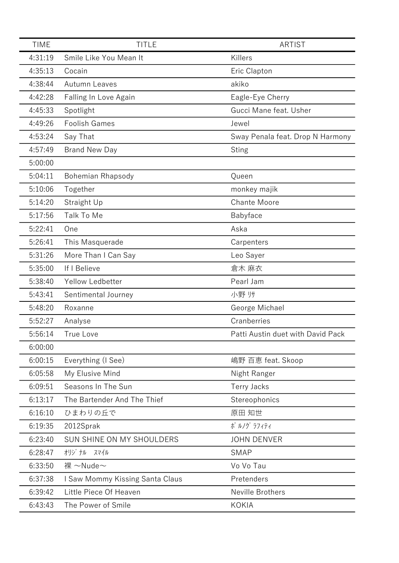| <b>TIME</b> | <b>TITLE</b>                    | <b>ARTIST</b>                     |
|-------------|---------------------------------|-----------------------------------|
| 4:31:19     | Smile Like You Mean It          | Killers                           |
| 4:35:13     | Cocain                          | Eric Clapton                      |
| 4:38:44     | Autumn Leaves                   | akiko                             |
| 4:42:28     | Falling In Love Again           | Eagle-Eye Cherry                  |
| 4:45:33     | Spotlight                       | Gucci Mane feat. Usher            |
| 4:49:26     | <b>Foolish Games</b>            | Jewel                             |
| 4:53:24     | Say That                        | Sway Penala feat. Drop N Harmony  |
| 4:57:49     | <b>Brand New Day</b>            | <b>Sting</b>                      |
| 5:00:00     |                                 |                                   |
| 5:04:11     | Bohemian Rhapsody               | Queen                             |
| 5:10:06     | Together                        | monkey majik                      |
| 5:14:20     | Straight Up                     | <b>Chante Moore</b>               |
| 5:17:56     | Talk To Me                      | Babyface                          |
| 5:22:41     | One                             | Aska                              |
| 5:26:41     | This Masquerade                 | Carpenters                        |
| 5:31:26     | More Than I Can Say             | Leo Sayer                         |
| 5:35:00     | If I Believe                    | 倉木 麻衣                             |
| 5:38:40     | Yellow Ledbetter                | Pearl Jam                         |
| 5:43:41     | Sentimental Journey             | 小野 リサ                             |
| 5:48:20     | Roxanne                         | George Michael                    |
| 5:52:27     | Analyse                         | Cranberries                       |
| 5:56:14     | <b>True Love</b>                | Patti Austin duet with David Pack |
| 6:00:00     |                                 |                                   |
| 6:00:15     | Everything (I See)              | 嶋野 百恵 feat. Skoop                 |
| 6:05:58     | My Elusive Mind                 | Night Ranger                      |
| 6:09:51     | Seasons In The Sun              | Terry Jacks                       |
| 6:13:17     | The Bartender And The Thief     | Stereophonics                     |
| 6:16:10     | ひまわりの丘で                         | 原田 知世                             |
| 6:19:35     | 2012Sprak                       | ポルグ ラフィティ                         |
| 6:23:40     | SUN SHINE ON MY SHOULDERS       | <b>JOHN DENVER</b>                |
| 6:28:47     | オリジ ナル スマイル                     | <b>SMAP</b>                       |
| 6:33:50     | 裸 ~Nude~                        | Vo Vo Tau                         |
| 6:37:38     | I Saw Mommy Kissing Santa Claus | Pretenders                        |
| 6:39:42     | Little Piece Of Heaven          | Neville Brothers                  |
| 6:43:43     | The Power of Smile              | <b>KOKIA</b>                      |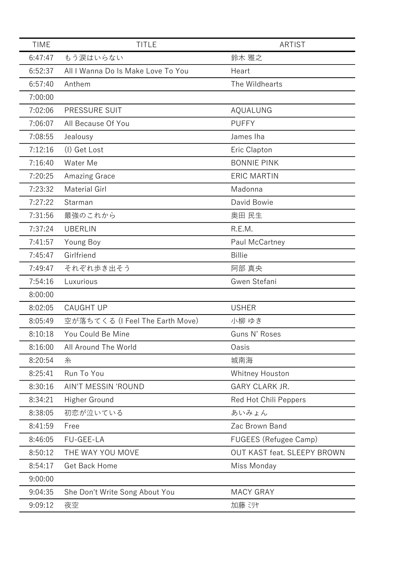| <b>TIME</b> | <b>TITLE</b>                       | ARTIST                      |
|-------------|------------------------------------|-----------------------------|
| 6:47:47     | もう涙はいらない                           | 鈴木 雅之                       |
| 6:52:37     | All I Wanna Do Is Make Love To You | Heart                       |
| 6:57:40     | Anthem                             | The Wildhearts              |
| 7:00:00     |                                    |                             |
| 7:02:06     | PRESSURE SUIT                      | AQUALUNG                    |
| 7:06:07     | All Because Of You                 | <b>PUFFY</b>                |
| 7:08:55     | Jealousy                           | James Iha                   |
| 7:12:16     | (I) Get Lost                       | Eric Clapton                |
| 7:16:40     | Water Me                           | <b>BONNIE PINK</b>          |
| 7:20:25     | Amazing Grace                      | <b>ERIC MARTIN</b>          |
| 7:23:32     | <b>Material Girl</b>               | Madonna                     |
| 7:27:22     | Starman                            | David Bowie                 |
| 7:31:56     | 最強のこれから                            | 奥田 民生                       |
| 7:37:24     | <b>UBERLIN</b>                     | R.E.M.                      |
| 7:41:57     | Young Boy                          | Paul McCartney              |
| 7:45:47     | Girlfriend                         | <b>Billie</b>               |
| 7:49:47     | それぞれ歩き出そう                          | 阿部 真央                       |
| 7:54:16     | Luxurious                          | Gwen Stefani                |
| 8:00:00     |                                    |                             |
| 8:02:05     | <b>CAUGHT UP</b>                   | <b>USHER</b>                |
| 8:05:49     | 空が落ちてくる (I Feel The Earth Move)    | 小柳 ゆき                       |
| 8:10:18     | You Could Be Mine                  | Guns N' Roses               |
| 8:16:00     | All Around The World               | Oasis                       |
| 8:20:54     | 糸                                  | 城南海                         |
| 8:25:41     | Run To You                         | Whitney Houston             |
| 8:30:16     | AIN'T MESSIN 'ROUND                | <b>GARY CLARK JR.</b>       |
| 8:34:21     | Higher Ground                      | Red Hot Chili Peppers       |
| 8:38:05     | 初恋が泣いている                           | あいみょん                       |
| 8:41:59     | Free                               | Zac Brown Band              |
| 8:46:05     | FU-GEE-LA                          | FUGEES (Refugee Camp)       |
| 8:50:12     | THE WAY YOU MOVE                   | OUT KAST feat. SLEEPY BROWN |
| 8:54:17     | Get Back Home                      | Miss Monday                 |
| 9:00:00     |                                    |                             |
| 9:04:35     | She Don't Write Song About You     | <b>MACY GRAY</b>            |
| 9:09:12     | 夜空                                 | 加藤 ミリャ                      |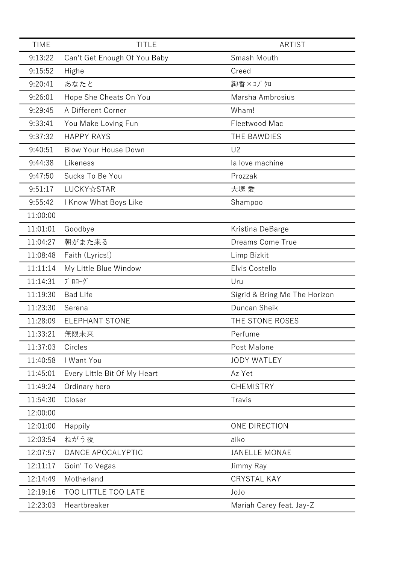| <b>TIME</b> | <b>TITLE</b>                      | <b>ARTIST</b>                 |
|-------------|-----------------------------------|-------------------------------|
| 9:13:22     | Can't Get Enough Of You Baby      | Smash Mouth                   |
| 9:15:52     | Highe                             | Creed                         |
| 9:20:41     | あなたと                              | 絢香×コブクロ                       |
| 9:26:01     | Hope She Cheats On You            | Marsha Ambrosius              |
| 9:29:45     | A Different Corner                | Wham!                         |
| 9:33:41     | You Make Loving Fun               | Fleetwood Mac                 |
| 9:37:32     | <b>HAPPY RAYS</b>                 | THE BAWDIES                   |
| 9:40:51     | <b>Blow Your House Down</b>       | U <sub>2</sub>                |
| 9:44:38     | Likeness                          | la love machine               |
| 9:47:50     | Sucks To Be You                   | Prozzak                       |
| 9:51:17     | LUCKY☆STAR                        | 大塚 愛                          |
| 9:55:42     | I Know What Boys Like             | Shampoo                       |
| 11:00:00    |                                   |                               |
| 11:01:01    | Goodbye                           | Kristina DeBarge              |
| 11:04:27    | 朝がまた来る                            | Dreams Come True              |
| 11:08:48    | Faith (Lyrics!)                   | Limp Bizkit                   |
| 11:11:14    | My Little Blue Window             | Elvis Costello                |
| 11:14:31    | $7°$ $\Pi\Pi-\gamma$ <sup>*</sup> | Uru                           |
| 11:19:30    | <b>Bad Life</b>                   | Sigrid & Bring Me The Horizon |
| 11:23:30    | Serena                            | Duncan Sheik                  |
| 11:28:09    | <b>ELEPHANT STONE</b>             | THE STONE ROSES               |
| 11:33:21    | 無限未来                              | Perfume                       |
| 11:37:03    | Circles                           | Post Malone                   |
| 11:40:58    | I Want You                        | <b>JODY WATLEY</b>            |
| 11:45:01    | Every Little Bit Of My Heart      | Az Yet                        |
| 11:49:24    | Ordinary hero                     | <b>CHEMISTRY</b>              |
| 11:54:30    | Closer                            | Travis                        |
| 12:00:00    |                                   |                               |
| 12:01:00    | Happily                           | ONE DIRECTION                 |
| 12:03:54    | ねがう夜                              | aiko                          |
| 12:07:57    | DANCE APOCALYPTIC                 | <b>JANELLE MONAE</b>          |
| 12:11:17    | Goin' To Vegas                    | Jimmy Ray                     |
| 12:14:49    | Motherland                        | <b>CRYSTAL KAY</b>            |
| 12:19:16    | <b>TOO LITTLE TOO LATE</b>        | JoJo                          |
| 12:23:03    | Heartbreaker                      | Mariah Carey feat. Jay-Z      |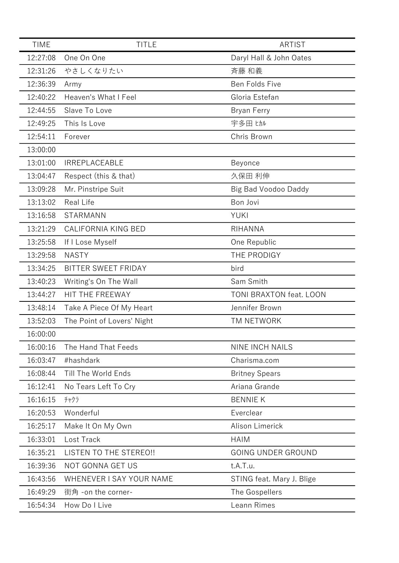| <b>TIME</b> | <b>TITLE</b>                  | <b>ARTIST</b>             |
|-------------|-------------------------------|---------------------------|
| 12:27:08    | One On One                    | Daryl Hall & John Oates   |
| 12:31:26    | やさしくなりたい                      | 斉藤 和義                     |
| 12:36:39    | Army                          | Ben Folds Five            |
| 12:40:22    | Heaven's What I Feel          | Gloria Estefan            |
| 12:44:55    | Slave To Love                 | Bryan Ferry               |
| 12:49:25    | This Is Love                  | 宇多田 ヒカル                   |
| 12:54:11    | Forever                       | Chris Brown               |
| 13:00:00    |                               |                           |
| 13:01:00    | <b>IRREPLACEABLE</b>          | Beyonce                   |
| 13:04:47    | Respect (this & that)         | 久保田 利伸                    |
| 13:09:28    | Mr. Pinstripe Suit            | Big Bad Voodoo Daddy      |
| 13:13:02    | <b>Real Life</b>              | Bon Jovi                  |
| 13:16:58    | <b>STARMANN</b>               | <b>YUKI</b>               |
| 13:21:29    | CALIFORNIA KING BED           | RIHANNA                   |
| 13:25:58    | If I Lose Myself              | One Republic              |
| 13:29:58    | <b>NASTY</b>                  | THE PRODIGY               |
| 13:34:25    | BITTER SWEET FRIDAY           | bird                      |
| 13:40:23    | Writing's On The Wall         | Sam Smith                 |
| 13:44:27    | HIT THE FREEWAY               | TONI BRAXTON feat. LOON   |
| 13:48:14    | Take A Piece Of My Heart      | Jennifer Brown            |
| 13:52:03    | The Point of Lovers' Night    | TM NETWORK                |
| 16:00:00    |                               |                           |
| 16:00:16    | The Hand That Feeds           | <b>NINE INCH NAILS</b>    |
| 16:03:47    | #hashdark                     | Charisma.com              |
| 16:08:44    | Till The World Ends           | <b>Britney Spears</b>     |
| 16:12:41    | No Tears Left To Cry          | Ariana Grande             |
| 16:16:15    | チャクラ                          | <b>BENNIE K</b>           |
| 16:20:53    | Wonderful                     | Everclear                 |
| 16:25:17    | Make It On My Own             | Alison Limerick           |
| 16:33:01    | Lost Track                    | <b>HAIM</b>               |
| 16:35:21    | <b>LISTEN TO THE STEREO!!</b> | <b>GOING UNDER GROUND</b> |
| 16:39:36    | NOT GONNA GET US              | t.A.T.u.                  |
| 16:43:56    | WHENEVER I SAY YOUR NAME      | STING feat. Mary J. Blige |
| 16:49:29    | 街角 -on the corner-            | The Gospellers            |
| 16:54:34    | How Do I Live                 | Leann Rimes               |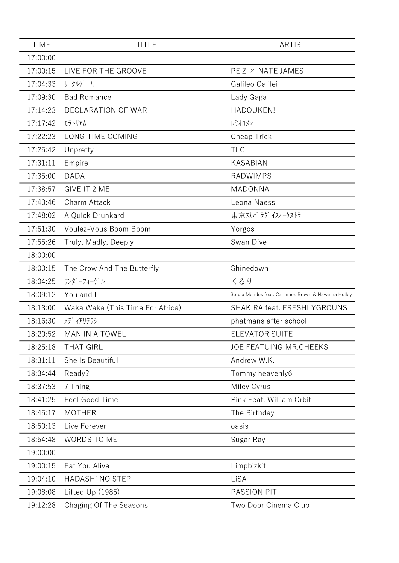| <b>TIME</b> | <b>TITLE</b>                     | <b>ARTIST</b>                                        |
|-------------|----------------------------------|------------------------------------------------------|
| 17:00:00    |                                  |                                                      |
| 17:00:15    | LIVE FOR THE GROOVE              | PE'Z × NATE JAMES                                    |
| 17:04:33    | サークルケ゛ーム                         | Galileo Galilei                                      |
| 17:09:30    | <b>Bad Romance</b>               | Lady Gaga                                            |
| 17:14:23    | <b>DECLARATION OF WAR</b>        | HADOUKEN!                                            |
| 17:17:42    | モラトリアム                           | レミオロメン                                               |
| 17:22:23    | LONG TIME COMING                 | Cheap Trick                                          |
| 17:25:42    | Unpretty                         | <b>TLC</b>                                           |
| 17:31:11    | Empire                           | <b>KASABIAN</b>                                      |
| 17:35:00    | <b>DADA</b>                      | <b>RADWIMPS</b>                                      |
| 17:38:57    | GIVE IT 2 ME                     | MADONNA                                              |
| 17:43:46    | Charm Attack                     | Leona Naess                                          |
| 17:48:02    | A Quick Drunkard                 | 東京スカパラダイスオーケストラ                                      |
| 17:51:30    | Voulez-Vous Boom Boom            | Yorgos                                               |
| 17:55:26    | Truly, Madly, Deeply             | Swan Dive                                            |
| 18:00:00    |                                  |                                                      |
| 18:00:15    | The Crow And The Butterfly       | Shinedown                                            |
| 18:04:25    | ワンダ ーフォーゲ ル                      | くるり                                                  |
| 18:09:12    | You and I                        | Sergio Mendes feat. Carlinhos Brown & Nayanna Holley |
| 18:13:00    | Waka Waka (This Time For Africa) | SHAKIRA feat. FRESHLYGROUNS                          |
| 18:16:30    | メデ ィアリテラシー                       | phatmans after school                                |
| 18:20:52    | <b>MAN IN A TOWEL</b>            | <b>ELEVATOR SUITE</b>                                |
| 18:25:18    | <b>THAT GIRL</b>                 | <b>JOE FEATUING MR.CHEEKS</b>                        |
| 18:31:11    | She Is Beautiful                 | Andrew W.K.                                          |
| 18:34:44    | Ready?                           | Tommy heavenly6                                      |
| 18:37:53    | 7 Thing                          | Miley Cyrus                                          |
| 18:41:25    | Feel Good Time                   | Pink Feat. William Orbit                             |
| 18:45:17    | <b>MOTHER</b>                    | The Birthday                                         |
| 18:50:13    | Live Forever                     | oasis                                                |
| 18:54:48    | <b>WORDS TO ME</b>               | Sugar Ray                                            |
| 19:00:00    |                                  |                                                      |
| 19:00:15    | Eat You Alive                    | Limpbizkit                                           |
| 19:04:10    | <b>HADASHI NO STEP</b>           | LiSA                                                 |
| 19:08:08    | Lifted Up (1985)                 | <b>PASSION PIT</b>                                   |
| 19:12:28    | Chaging Of The Seasons           | Two Door Cinema Club                                 |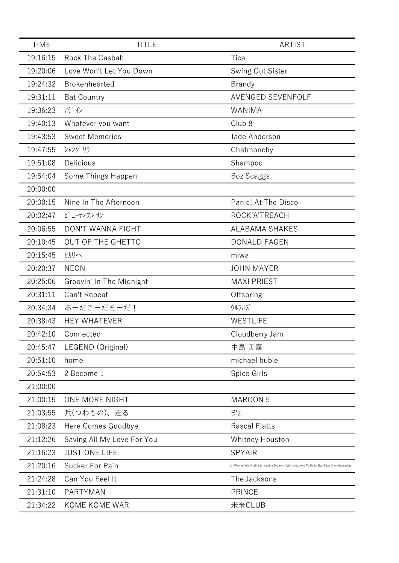| <b>TIME</b> | <b>TITLE</b>               | <b>ARTIST</b>                                                                             |
|-------------|----------------------------|-------------------------------------------------------------------------------------------|
| 19:16:15    | Rock The Casbah            | Tica                                                                                      |
| 19:20:06    | Love Won't Let You Down    | Swing Out Sister                                                                          |
| 19:24:32    | <b>Brokenhearted</b>       | <b>Brandy</b>                                                                             |
| 19:31:11    | <b>Bat Country</b>         | <b>AVENGED SEVENFOLF</b>                                                                  |
| 19:36:23    | アゲイン                       | WANIMA                                                                                    |
| 19:40:13    | Whatever you want          | Club <sub>8</sub>                                                                         |
| 19:43:53    | <b>Sweet Memories</b>      | Jade Anderson                                                                             |
| 19:47:55    | シャング リラ                    | Chatmonchy                                                                                |
| 19:51:08    | Delicious                  | Shampoo                                                                                   |
| 19:54:04    | Some Things Happen         | <b>Boz Scaggs</b>                                                                         |
| 20:00:00    |                            |                                                                                           |
| 20:00:15    | Nine In The Afternoon      | Panic! At The Disco                                                                       |
| 20:02:47    | ビューティフル サン                 | ROCK'A'TREACH                                                                             |
| 20:06:55    | <b>DON'T WANNA FIGHT</b>   | <b>ALABAMA SHAKES</b>                                                                     |
| 20:10:45    | OUT OF THE GHETTO          | <b>DONALD FAGEN</b>                                                                       |
| 20:15:45    | ヒカリへ                       | miwa                                                                                      |
| 20:20:37    | <b>NEON</b>                | <b>JOHN MAYER</b>                                                                         |
| 20:25:06    | Groovin' In The Midnight   | <b>MAXI PRIEST</b>                                                                        |
| 20:31:11    | Can't Repeat               | Offspring                                                                                 |
| 20:34:34    | あーだこーだそーだ!                 | ウルフルズ                                                                                     |
| 20:38:43    | <b>HEY WHATEVER</b>        | WESTLIFE                                                                                  |
| 20:42:10    | Connected                  | Cloudberry Jam                                                                            |
| 20:45:47    | LEGEND (Original)          | 中島 美嘉                                                                                     |
| 20:51:10    | home                       | michael buble                                                                             |
| 20:54:53    | 2 Become 1                 | Spice Girls                                                                               |
| 21:00:00    |                            |                                                                                           |
| 21:00:15    | ONE MORE NIGHT             | <b>MAROON 5</b>                                                                           |
| 21:03:55    | 兵(つわもの)、走る                 | B'z                                                                                       |
| 21:08:23    | Here Comes Goodbye         | <b>Rascal Flatts</b>                                                                      |
| 21:12:26    | Saving All My Love For You | <b>Whitney Houston</b>                                                                    |
| 21:16:23    | <b>JUST ONE LIFE</b>       | <b>SPYAIR</b>                                                                             |
| 21:20:16    | Sucker For Pain            | Lil Wayne, Wiz Khalifa & Imagine Dragons With Logic And Ty Dolla Sign Feat. X Ambassadors |
| 21:24:28    | Can You Feel It            | The Jacksons                                                                              |
| 21:31:10    | <b>PARTYMAN</b>            | <b>PRINCE</b>                                                                             |
| 21:34:22    | KOME KOME WAR              | 米米CLUB                                                                                    |